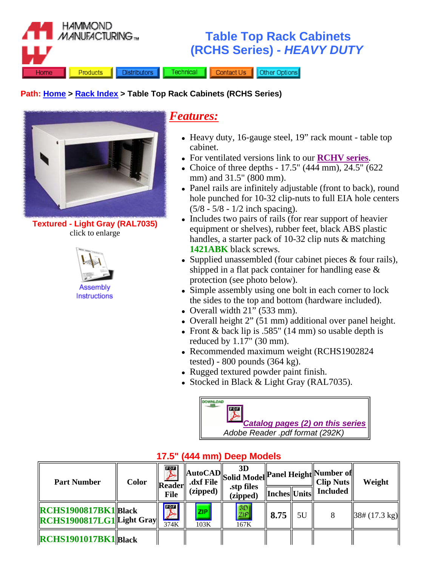

#### **Path: Home > Rack Index > Table Top Rack Cabinets (RCHS Series)**



**Textured - Light Gray (RAL7035)** click to enlarge



## *Features:*

- Heavy duty, 16-gauge steel, 19" rack mount table top cabinet.
- For ventilated versions link to our **RCHV series**.
- Choice of three depths  $17.5$ " (444 mm), 24.5" (622) mm) and 31.5" (800 mm).
- Panel rails are infinitely adjustable (front to back), round hole punched for 10-32 clip-nuts to full EIA hole centers (5/8 - 5/8 - 1/2 inch spacing).
- Includes two pairs of rails (for rear support of heavier equipment or shelves), rubber feet, black ABS plastic handles, a starter pack of 10-32 clip nuts & matching **1421ABK** black screws.
- Supplied unassembled (four cabinet pieces  $&$  four rails), shipped in a flat pack container for handling ease & protection (see photo below).
- Simple assembly using one bolt in each corner to lock the sides to the top and bottom (hardware included).
- Overall width  $21$ " (533 mm).
- Overall height  $2$ " (51 mm) additional over panel height.
- Front & back lip is .585" (14 mm) so usable depth is reduced by 1.17" (30 mm).
- Recommended maximum weight (RCHS1902824 tested) - 800 pounds (364 kg).
- Rugged textured powder paint finish.
- Stocked in Black & Light Gray (RAL7035).



| <b>Part Number</b>                                                                                               | <b>Color</b> | $\mathbf{L}_{\mathbf{W}}$<br><b>Reader</b><br><b>File</b> | (zipped)           | 3D<br>$\left\  \frac{\text{AutoCAD}}{\text{.dst File}} \right\ $ Solid Model Panel Height Number of<br>.stp files<br>(zipped) | $\ $ Inches $\ $ Units $\ $ |    | <b>Included</b> | Weight                    |
|------------------------------------------------------------------------------------------------------------------|--------------|-----------------------------------------------------------|--------------------|-------------------------------------------------------------------------------------------------------------------------------|-----------------------------|----|-----------------|---------------------------|
| $\left\Vert \text{RCHS1900817BK1}\right\Vert$ Black<br>$\left\Vert \text{RCHS1900817LG1} \right\Vert$ Light Gray |              | <b>I</b> EQE I<br>$\blacktriangleright$<br>374K           | <b>ZIP</b><br>103K | [3D]<br>ZIP<br>167K                                                                                                           | 8.75                        | 5U |                 | $ 38# (17.3 \text{ kg}) $ |
| <b>RCHS1901017BK1Black</b>                                                                                       |              |                                                           |                    |                                                                                                                               |                             |    |                 |                           |

#### **17.5" (444 mm) Deep Models**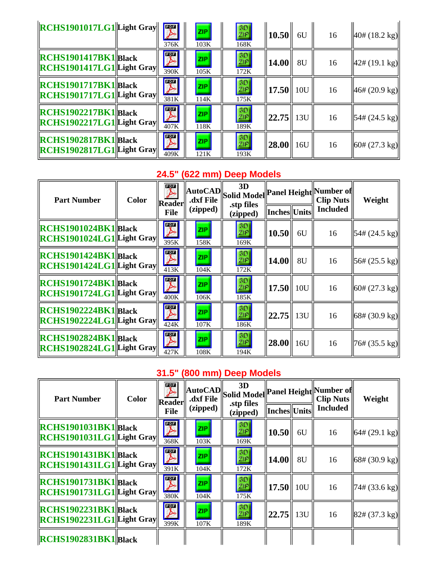| $\left\Vert \text{RCHS1901017LG1} \right\Vert$ Light Gray $\left\Vert \begin{array}{c} \boxed{32} \\ \boxed{23} \end{array} \right\Vert$ | 376K                          | ZIP<br>103K        | 3D<br>ZIP<br>168K   | $\parallel$ 10.50 $\parallel$ | 6U  | 16 | $ 40# (18.2 \text{ kg}) $                |
|------------------------------------------------------------------------------------------------------------------------------------------|-------------------------------|--------------------|---------------------|-------------------------------|-----|----|------------------------------------------|
| $\left \left \text{RCHS1901417BK1}\right \text{Black}\right $<br>$\left\Vert \text{RCHS1901417LG1} \right\Vert$ Light Gray               | $ \mathcal{X} $<br>390K       | <b>ZIP</b><br>105K | 3D <br>ZIP.<br>172K | 14.00                         | 8U  | 16 | $ 42# (19.1 \text{ kg}) $                |
| RCHS1901717BK1 Black<br>$\left\Vert \text{RCHS1901717LG1} \right\Vert$ Light Gray                                                        | $\blacktriangleright$<br>381K | <b>ZIP</b><br>114K | 3D<br>ZIP<br>175K   | $\ 17.50\ 10U$                |     | 16 | 46# (20.9 kg)                            |
| $\left \left \mathbf{R}\mathbf{CH}\mathbf{S1902217BK1}\right \right $ Black<br>$\left\Vert \text{RCHS1902217LG1} \right\Vert$ Light Gray | $\mathbb{R}$<br>407K          | <b>ZIP</b><br>118K | 3D<br>ZIP<br>189K   | 22.75                         | 13U | 16 | $\left 54\# (24.5 \text{ kg})\right $    |
| RCHS1902817BK1 Black<br>$\left\Vert \text{RCHS1902817LG1} \right\Vert$ Light Gray                                                        | $\blacktriangleright$<br>409K | <b>ZIP</b><br>121K | 3D<br>ZIP<br>193K   | $ 28.00 $ 16U                 |     | 16 | $\left  60 \# (27.3 \text{ kg}) \right $ |

# **24.5" (622 mm) Deep Models**

| <b>Color</b><br><b>Part Number</b>                                                                                               | $\overline{\mathscr{F}}$<br>.dxf File<br>Reader | 3D<br>$\begin{array}{c} \begin{array}{c} \begin{array}{c} \text{MutoCAD} \\ \text{d.f.} \end{array} \end{array} \end{array}$<br>.stp files |                                |                           | <b>Clip Nuts</b> | Weight          |                              |
|----------------------------------------------------------------------------------------------------------------------------------|-------------------------------------------------|--------------------------------------------------------------------------------------------------------------------------------------------|--------------------------------|---------------------------|------------------|-----------------|------------------------------|
|                                                                                                                                  | <b>File</b>                                     | (zipped)                                                                                                                                   | (zipped)                       | Inches  Units             |                  | <b>Included</b> |                              |
| $\left \mathbb{R}\text{CHS}1901024\text{BK}1\right \mathbb{B}$ lack<br>$\left\Vert \text{RCHS1901024LG1} \right\Vert$ Light Gray | $\blacktriangleright$<br>395K                   | ZIP:<br>158K                                                                                                                               | 3D<br>ZIP<br>169K              | 10.50                     | 6U               | 16              | $\ 54\# (24.5 \text{ kg})\ $ |
| <b>RCHS1901424BK1Black</b><br>$\left\Vert \text{RCHS1901424LG1} \right\Vert$ Light Gray                                          | $\overline{\mathscr{F}}$<br>413K                | <b>ZIP</b><br>104K                                                                                                                         | 3D<br><b>ZP</b><br>172K        | 14.00                     | 8U               | 16              | $\ 56\# (25.5 \text{ kg})\ $ |
| <b>RCHS1901724BK1Black</b><br>$\left\Vert \text{RCHS1901724LG1} \right\Vert$ Light Gray                                          | $\overline{\mathscr{F}}$<br>400K                | ZIP.<br>106K                                                                                                                               | 3D<br>ZIP.<br>185K             | $\vert 17.50 \vert \vert$ | 10U              | 16              | $\ 60# (27.3 \text{ kg})\ $  |
| $\left \text{RCHS1902224BK1}\right $ Black<br>$\left\Vert \text{RCHS1902224LG1} \right\Vert$ Light Gray                          | $\sum_{424K}$                                   | ZIP.<br>107K                                                                                                                               | $rac{3D}{\mathbb{Z}P}$<br>186K | $\ 22.75\ 13U\ $          |                  | 16              | $\ 68# (30.9 \text{ kg})\ $  |
| RCHS1902824BK1Black<br>$\left\Vert \text{RCHS1902824LG1}\right\Vert$ Light Gray                                                  | $\overline{\mathscr{F}}$<br>427K                | <b>ZIP</b><br>108K                                                                                                                         | 3D<br>ZIP.<br>194K             | $\vert 28.00 \vert \vert$ | 16U              | 16              | $\ 76# (35.5 \text{ kg})\ $  |

## **31.5" (800 mm) Deep Models**

| <b>Part Number</b>                                                                     | <b>Color</b> | 文<br><b>Reader</b>                           | .dxf File          | 3D<br>$\left\  \text{AutoCAD} \right\ _{\text{Solid Model}}$ Panel Height Number of<br>.stp files | Inches  Units |             | <b>Clip Nuts</b><br><b>Included</b> | Weight                                   |
|----------------------------------------------------------------------------------------|--------------|----------------------------------------------|--------------------|---------------------------------------------------------------------------------------------------|---------------|-------------|-------------------------------------|------------------------------------------|
|                                                                                        |              | <b>File</b>                                  | (zipped)           | (zipped)                                                                                          |               |             |                                     |                                          |
| <b>RCHS1901031BK1Black</b><br>$\left\Vert \text{RCHS1901031LG1}\right\Vert$ Light Gray |              | $\overline{\mathcal{F}}$<br>368K             | <b>ZIP</b><br>103K | 3D<br>ZIP<br>169K                                                                                 | 10.50         | 6U          | 16                                  | $\left  64 \# (29.1 \text{ kg}) \right $ |
| <b>RCHS1901431BK1Black</b><br>$\left\Vert \text{RCHS1901431LG1}\right\Vert$ Light Gray |              | $\overline{\mathcal{F}}$<br>$\frac{1}{391K}$ | ZIP.<br>104K       | 30<br>ZIP<br>172K                                                                                 | 14.00         | 8U          | 16                                  | $\left  68 \# (30.9 \text{ kg}) \right $ |
| <b>RCHS1901731BK1Black</b><br>$\left\Vert \text{RCHS1901731LG1}\right\Vert$ Light Gray |              | $\overline{\mathbb{Z}}$<br>380K              | <b>ZIP</b><br>104K | 3D<br>ZIP<br>175K                                                                                 | 17.50         | 10U         | 16                                  | $\sqrt{74\# (33.6 \text{ kg})}$          |
| RCHS1902231BK1 Black<br>$\left\Vert \text{RCHS1902231LG1} \right\Vert$ Light Gray      |              | $\overline{\mathcal{F}}$<br>399K             | <b>ZIP</b><br>107K | [3D]<br>ZIP<br>189K                                                                               | 22.75         | $\vert$ 13U | 16                                  | $\left  82 \# (37.3 \text{ kg}) \right $ |
| $\left \left \left \right  \right \right $ RCHS1902831BK1 $\left \left \right $ Black  |              |                                              |                    |                                                                                                   |               |             |                                     |                                          |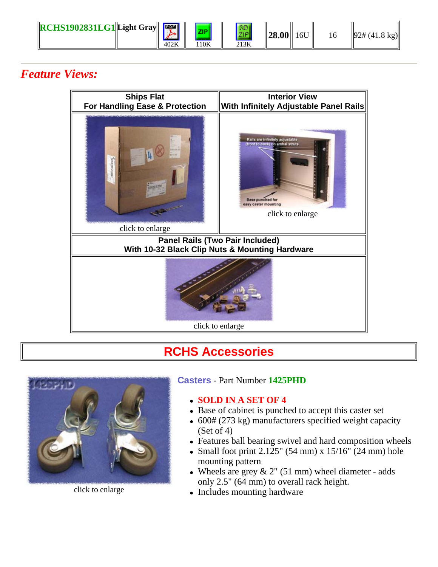

## *Feature Views:*



## **RCHS Accessories**



click to enlarge

#### **Casters** - Part Number **1425PHD**

#### <sup>z</sup> **SOLD IN A SET OF 4**

- Base of cabinet is punched to accept this caster set
- $\bullet$  600# (273 kg) manufacturers specified weight capacity (Set of 4)
- Features ball bearing swivel and hard composition wheels
- Small foot print 2.125" (54 mm) x  $15/16$ " (24 mm) hole mounting pattern
- Wheels are grey  $& 2"$  (51 mm) wheel diameter adds only 2.5" (64 mm) to overall rack height.
- Includes mounting hardware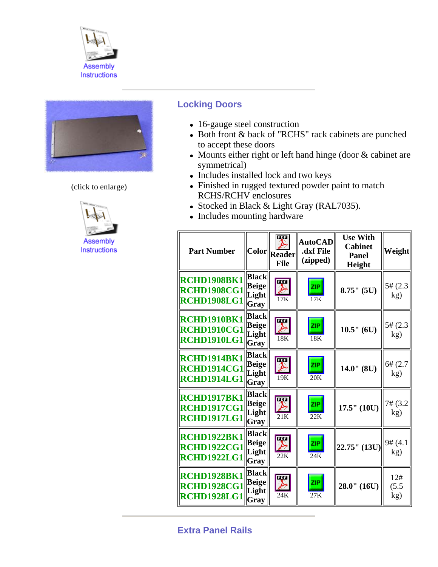



(click to enlarge)



### **Locking Doors**

- 16-gauge steel construction
- Both front & back of "RCHS" rack cabinets are punched to accept these doors
- Mounts either right or left hand hinge (door  $&$  cabinet are symmetrical)
- Includes installed lock and two keys
- Finished in rugged textured powder paint to match RCHS/RCHV enclosures
- Stocked in Black & Light Gray (RAL7035).
- Includes mounting hardware

| <b>Part Number</b>                                             | <b>Color</b>                                  | PDF<br>Reader<br><b>File</b>    | <b>AutoCAD</b><br>.dxf File<br>(zipped) | <b>Use With</b><br><b>Cabinet</b><br><b>Panel</b><br>Height | <b>Weight</b>       |
|----------------------------------------------------------------|-----------------------------------------------|---------------------------------|-----------------------------------------|-------------------------------------------------------------|---------------------|
| <b>RCHD1908BK1</b><br><b>RCHD1908CG1</b><br><b>RCHD1908LG1</b> | <b>Black</b><br><b>Beige</b><br>Light<br>Gray | $\overline{\mathbb{Z}}$<br>17K  | <b>ZIP</b><br>17K                       | $8.75$ " (5U)                                               | 5# (2.3)<br>kg)     |
| RCHD1910BK1<br><b>RCHD1910CG1</b><br>RCHD1910LG1               | <b>Black</b><br><b>Beige</b><br>Light<br>Gray | $\overline{\mathcal{F}}$<br>18K | ZIP.<br>18K                             | $10.5"$ (6U)                                                | 5# (2.3)<br>kg)     |
| <b>RCHD1914BK1</b><br><b>RCHD1914CG1</b><br>RCHD1914LG1        | <b>Black</b><br><b>Beige</b><br>Light<br>Gray | $\overline{\mathbb{Z}}$<br>19K  | ZIP<br>20K                              | $14.0$ " (8U)                                               | 6# (2.7)<br>kg)     |
| RCHD1917BK1<br><b>RCHD1917CG1</b><br><b>RCHD1917LG1</b>        | <b>Black</b><br><b>Beige</b><br>Light<br>Gray | $\overline{\mathbb{Z}}$<br>21K  | <b>ZIP</b><br>22K                       | $17.5"$ $(10U)$                                             | 7# (3.2<br>kg)      |
| <b>RCHD1922BK1</b><br><b>RCHD1922CG1</b><br><b>RCHD1922LG1</b> | <b>Black</b><br>Beige<br>Light<br>Gray        | $\overline{\mathscr{F}}$<br>22K | ZIP.<br>24K                             | 22.75" (13U)                                                | 9# (4.1)<br>kg)     |
| RCHD1928BK1<br><b>RCHD1928CG1</b><br><b>RCHD1928LG1</b>        | <b>Black</b><br>Beige<br>Light<br>Gray        | nga<br>24K                      | ZIP<br>27K                              | $28.0$ " $(16U)$                                            | 12#<br>(5.5)<br>kg) |

**Extra Panel Rails**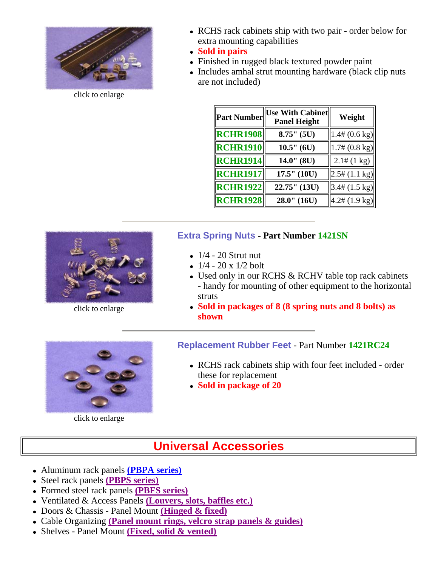

click to enlarge

- RCHS rack cabinets ship with two pair order below for extra mounting capabilities
- <sup>z</sup> **Sold in pairs**
- Finished in rugged black textured powder paint
- Includes amhal strut mounting hardware (black clip nuts) are not included)

| Part Number     | <b>Use With Cabinet</b><br><b>Panel Height</b> | Weight                   |
|-----------------|------------------------------------------------|--------------------------|
| <b>RCHR1908</b> | $8.75''$ (5U)                                  | $1.4\# (0.6 \text{ kg})$ |
| <b>RCHR1910</b> | $10.5"$ (6U)                                   | $1.7\# (0.8 \text{ kg})$ |
| <b>RCHR1914</b> | $14.0$ " (8U)                                  | $2.1\#(1 \text{ kg})$    |
| <b>RCHR1917</b> | 17.5" (10U)                                    | $2.5\# (1.1 \text{ kg})$ |
| <b>RCHR1922</b> | 22.75" (13U)                                   | $3.4\# (1.5 \text{ kg})$ |
| <b>RCHR1928</b> | $28.0$ " $(16U)$                               | $4.2\# (1.9 \text{ kg})$ |

### **Extra Spring Nuts - Part Number 1421SN**

- $\bullet$  1/4 20 Strut nut
- $1/4 20 \times 1/2$  bolt
- Used only in our RCHS & RCHV table top rack cabinets - handy for mounting of other equipment to the horizontal struts
- <sup>z</sup> **Sold in packages of 8 (8 spring nuts and 8 bolts) as shown**



click to enlarge

#### click to enlarge

### **Replacement Rubber Feet** - Part Number **1421RC24**

- RCHS rack cabinets ship with four feet included order these for replacement
- <sup>z</sup> **Sold in package of 20**

# **Universal Accessories**

- <sup>z</sup> Aluminum rack panels **(PBPA series)**
- <sup>z</sup> Steel rack panels **(PBPS series)**
- <sup>z</sup> Formed steel rack panels **(PBFS series)**
- <sup>z</sup> Ventilated & Access Panels **(Louvers, slots, baffles etc.)**
- Doors & Chassis Panel Mount **(Hinged & fixed)**
- <sup>z</sup> Cable Organizing **(Panel mount rings, velcro strap panels & guides)**
- <sup>z</sup> Shelves Panel Mount **(Fixed, solid & vented)**